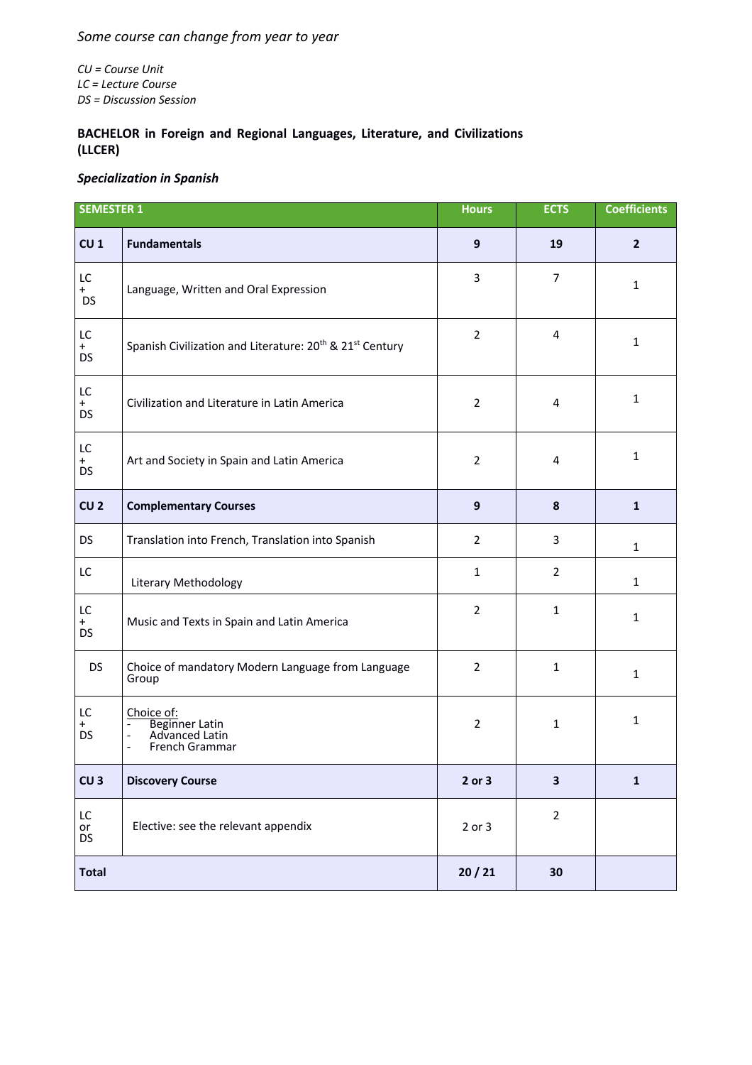## *Some course can change from year to year*

*CU = Course Unit LC = Lecture Course DS = Discussion Session*

## **BACHELOR in Foreign and Regional Languages, Literature, and Civilizations (LLCER)**

## *Specialization in Spanish*

| <b>SEMESTER 1</b>                 |                                                                                              | <b>Hours</b>     | <b>ECTS</b>             | <b>Coefficients</b> |
|-----------------------------------|----------------------------------------------------------------------------------------------|------------------|-------------------------|---------------------|
| CU <sub>1</sub>                   | <b>Fundamentals</b>                                                                          | 9                | 19                      | $\overline{2}$      |
| LC.<br>$+$<br><b>DS</b>           | Language, Written and Oral Expression                                                        | 3                | $\overline{7}$          | $\mathbf{1}$        |
| LC<br>$+$<br><b>DS</b>            | Spanish Civilization and Literature: 20 <sup>th</sup> & 21 <sup>st</sup> Century             | $\overline{2}$   | 4                       | $\mathbf{1}$        |
| LC<br>$+$<br><b>DS</b>            | Civilization and Literature in Latin America                                                 | $\overline{2}$   | 4                       | $\mathbf{1}$        |
| LC<br>$+$<br><b>DS</b>            | Art and Society in Spain and Latin America                                                   | $\overline{2}$   | $\overline{4}$          | $\mathbf{1}$        |
| CU <sub>2</sub>                   | <b>Complementary Courses</b>                                                                 | $\boldsymbol{9}$ | 8                       | $\mathbf{1}$        |
| <b>DS</b>                         | Translation into French, Translation into Spanish                                            | $\overline{2}$   | 3                       | $\mathbf{1}$        |
| LC                                | Literary Methodology                                                                         | $\mathbf{1}$     | $\overline{2}$          | $\mathbf{1}$        |
| LC<br>$+$<br><b>DS</b>            | Music and Texts in Spain and Latin America                                                   | $\overline{2}$   | $\mathbf{1}$            | $\mathbf{1}$        |
| <b>DS</b>                         | Choice of mandatory Modern Language from Language<br>Group                                   | $\overline{2}$   | $\mathbf{1}$            | $\mathbf{1}$        |
| LC<br>$\overline{+}$<br><b>DS</b> | Choice of:<br>Beginner Latin<br>Advanced Latin<br>$\overline{\phantom{a}}$<br>French Grammar | $\overline{2}$   | $\mathbf{1}$            | $\mathbf{1}$        |
| CU <sub>3</sub>                   | <b>Discovery Course</b>                                                                      | 2 or 3           | $\overline{\mathbf{3}}$ | $\mathbf{1}$        |
| LC<br>or<br><b>DS</b>             | Elective: see the relevant appendix                                                          | $2$ or $3$       | $\overline{2}$          |                     |
| <b>Total</b>                      |                                                                                              | 20/21            | 30                      |                     |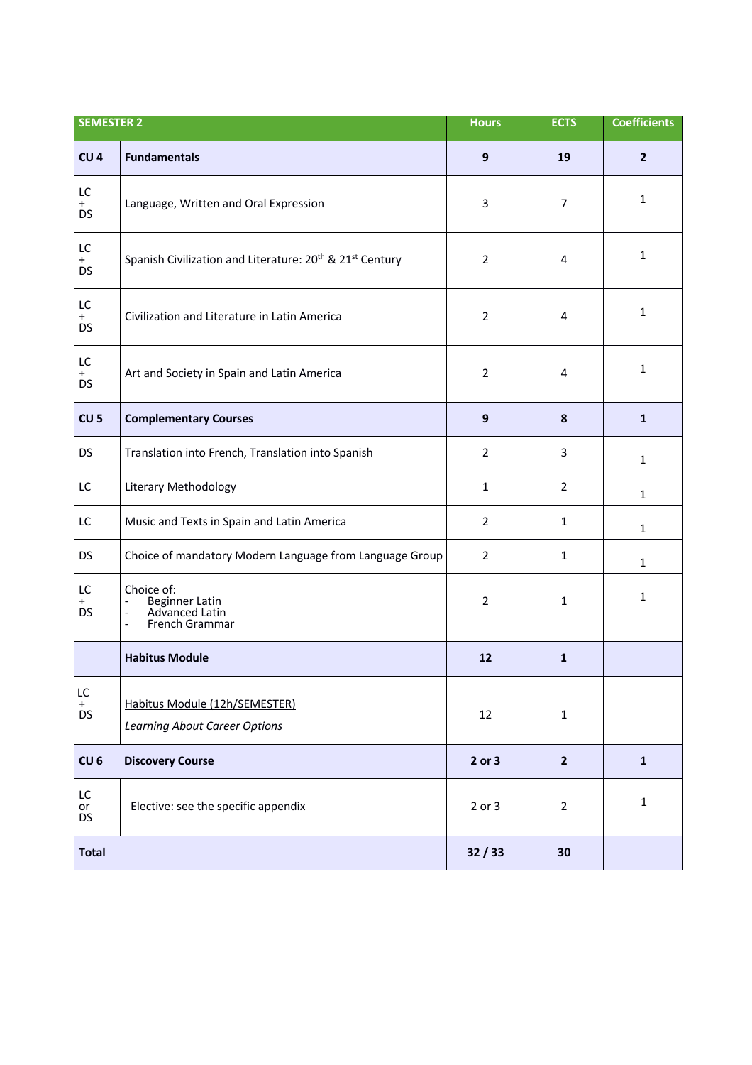| <b>SEMESTER 2</b>      |                                                                                                                                                | <b>Hours</b>     | <b>ECTS</b>             | <b>Coefficients</b> |
|------------------------|------------------------------------------------------------------------------------------------------------------------------------------------|------------------|-------------------------|---------------------|
| CU <sub>4</sub>        | <b>Fundamentals</b>                                                                                                                            | $\boldsymbol{9}$ | 19                      | $\overline{2}$      |
| LC<br>$+$<br><b>DS</b> | Language, Written and Oral Expression                                                                                                          | 3                | $\overline{7}$          | 1                   |
| LC<br>$+$<br><b>DS</b> | Spanish Civilization and Literature: 20 <sup>th</sup> & 21 <sup>st</sup> Century                                                               | $\overline{2}$   | 4                       | $\mathbf{1}$        |
| LC<br>$+$<br><b>DS</b> | Civilization and Literature in Latin America                                                                                                   | $\overline{2}$   | $\overline{\mathbf{4}}$ | $\mathbf{1}$        |
| LC<br>$+$<br><b>DS</b> | Art and Society in Spain and Latin America                                                                                                     | $\overline{2}$   | 4                       | $\mathbf{1}$        |
| CU <sub>5</sub>        | <b>Complementary Courses</b>                                                                                                                   | $\boldsymbol{9}$ | 8                       | $\mathbf{1}$        |
| <b>DS</b>              | Translation into French, Translation into Spanish                                                                                              | $\overline{2}$   | 3                       | $\mathbf{1}$        |
| LC                     | Literary Methodology                                                                                                                           | $\mathbf{1}$     | $\overline{2}$          | $\mathbf{1}$        |
| LC                     | Music and Texts in Spain and Latin America                                                                                                     | $\overline{2}$   | $\mathbf{1}$            | $\mathbf{1}$        |
| <b>DS</b>              | Choice of mandatory Modern Language from Language Group                                                                                        | $\overline{2}$   | 1                       | $\mathbf{1}$        |
| LC<br>$\ddot{}$<br>DS  | Choice of:<br>Beginner Latin<br>Advanced Latin<br>$\overline{\phantom{a}}$<br>$\qquad \qquad \blacksquare$<br>French Grammar<br>$\overline{a}$ | $\overline{2}$   | 1                       | 1                   |
|                        | <b>Habitus Module</b>                                                                                                                          | 12               | $\mathbf{1}$            |                     |
| LC<br>$+$<br><b>DS</b> | Habitus Module (12h/SEMESTER)<br><b>Learning About Career Options</b>                                                                          | 12               | $\mathbf{1}$            |                     |
| CU <sub>6</sub>        | <b>Discovery Course</b>                                                                                                                        | 2 or 3           | $\mathbf{2}$            | $\mathbf{1}$        |
| LC<br>or<br><b>DS</b>  | Elective: see the specific appendix                                                                                                            | 2 or 3           | $\overline{2}$          | $\mathbf{1}$        |
| <b>Total</b>           |                                                                                                                                                | 32/33            | 30                      |                     |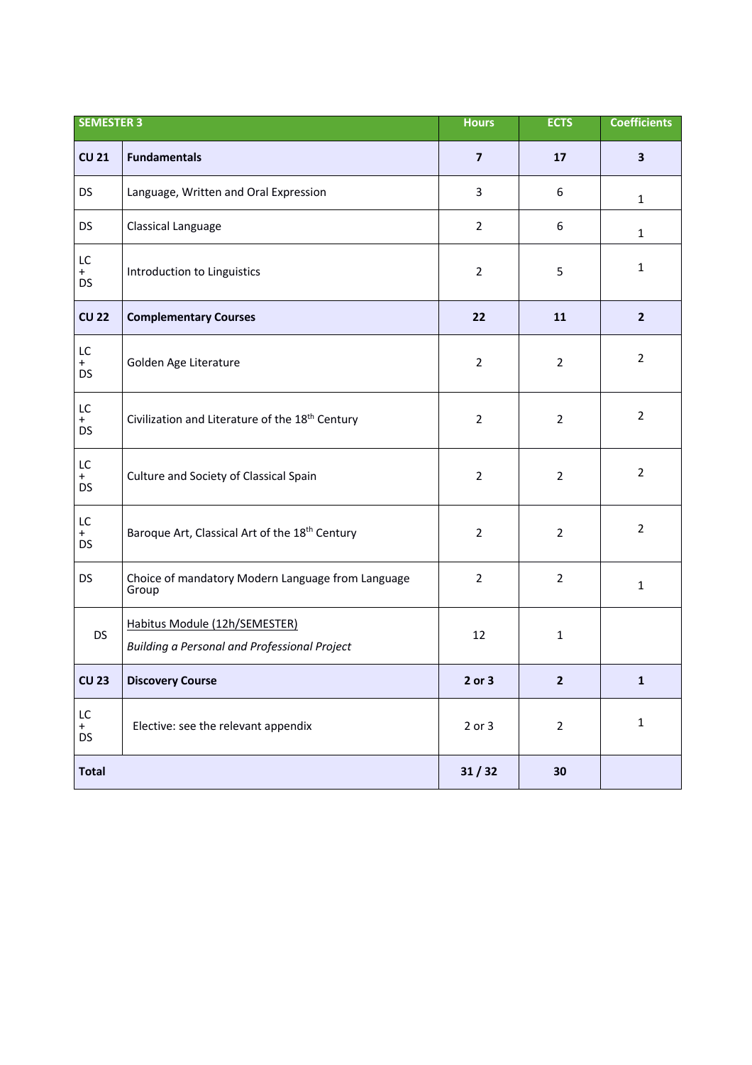| <b>SEMESTER 3</b>      |                                                                               | <b>Hours</b>            | <b>ECTS</b>    | <b>Coefficients</b>     |
|------------------------|-------------------------------------------------------------------------------|-------------------------|----------------|-------------------------|
| <b>CU 21</b>           | <b>Fundamentals</b>                                                           | $\overline{\mathbf{z}}$ | 17             | $\overline{\mathbf{3}}$ |
| DS                     | Language, Written and Oral Expression                                         | 3                       | 6              | $\mathbf{1}$            |
| <b>DS</b>              | Classical Language                                                            | $\overline{2}$          | 6              | $\mathbf{1}$            |
| LC<br>$+$<br>DS        | Introduction to Linguistics                                                   | $\overline{2}$          | 5              | $\mathbf{1}$            |
| <b>CU 22</b>           | <b>Complementary Courses</b>                                                  | 22                      | 11             | $\overline{2}$          |
| LC<br>$+$<br>DS        | Golden Age Literature                                                         | $\overline{2}$          | $\overline{2}$ | $\overline{2}$          |
| LC<br>$_{DS}^+$        | Civilization and Literature of the 18 <sup>th</sup> Century                   | $\overline{2}$          | $\overline{2}$ | $\overline{2}$          |
| LC<br>$+$<br>DS        | Culture and Society of Classical Spain                                        | $\overline{2}$          | $\overline{2}$ | $\overline{2}$          |
| LC<br>$+$<br><b>DS</b> | Baroque Art, Classical Art of the 18th Century                                | $\overline{2}$          | $\overline{2}$ | $\overline{2}$          |
| DS                     | Choice of mandatory Modern Language from Language<br>Group                    | $\overline{2}$          | $\overline{2}$ | $\mathbf{1}$            |
| <b>DS</b>              | Habitus Module (12h/SEMESTER)<br>Building a Personal and Professional Project | 12                      | $\mathbf{1}$   |                         |
| <b>CU 23</b>           | <b>Discovery Course</b>                                                       | 2 or 3                  | $\mathbf{2}$   | 1                       |
| LC<br>$+$<br>DS        | Elective: see the relevant appendix                                           | $2$ or $3$              | $\overline{2}$ | $\mathbf{1}$            |
| <b>Total</b>           |                                                                               | 31/32                   | 30             |                         |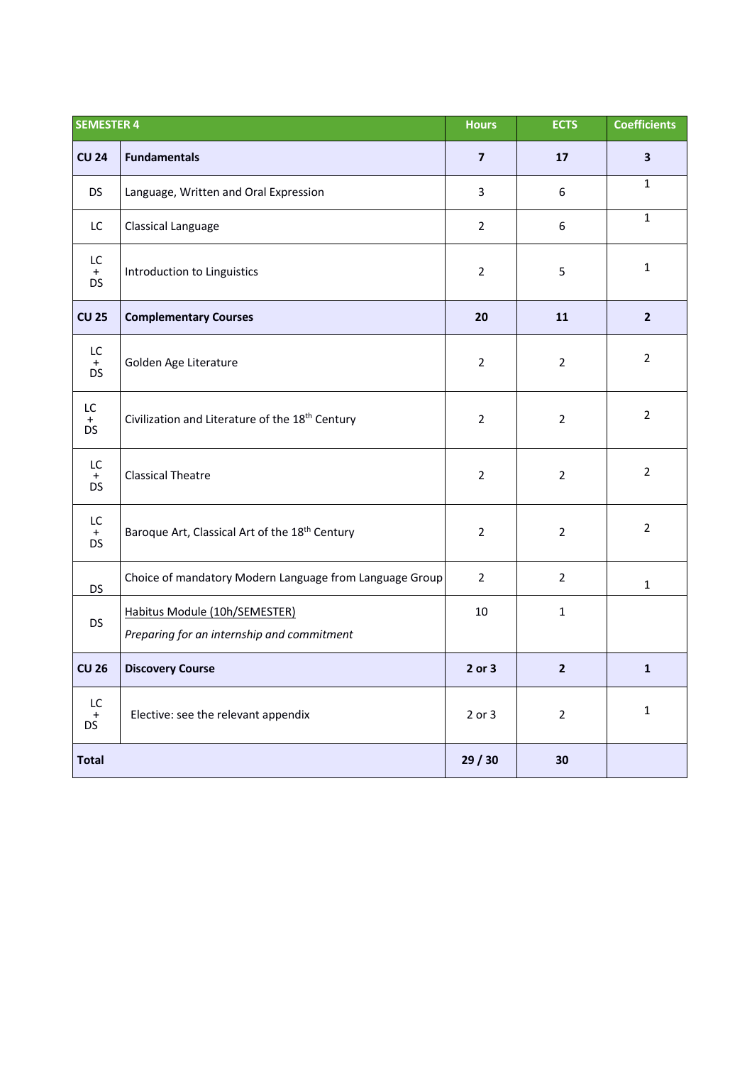| <b>SEMESTER 4</b>            |                                                                             | <b>Hours</b>   | <b>ECTS</b>    | <b>Coefficients</b> |
|------------------------------|-----------------------------------------------------------------------------|----------------|----------------|---------------------|
| <b>CU 24</b>                 | <b>Fundamentals</b>                                                         | $\overline{7}$ | 17             | 3                   |
| <b>DS</b>                    | Language, Written and Oral Expression                                       | $\overline{3}$ | 6              | $\mathbf{1}$        |
| LC                           | Classical Language                                                          | $\overline{2}$ | 6              | $\mathbf{1}$        |
| LC<br>$+$<br>DS              | Introduction to Linguistics                                                 | $\overline{2}$ | 5              | $\mathbf{1}$        |
| <b>CU 25</b>                 | <b>Complementary Courses</b>                                                | 20             | 11             | $\overline{2}$      |
| LC<br>$+$<br>DS              | Golden Age Literature                                                       | $\overline{2}$ | $\overline{2}$ | $\overline{2}$      |
| LC<br>$+$<br><b>DS</b>       | Civilization and Literature of the 18 <sup>th</sup> Century                 | $\overline{2}$ | $\overline{2}$ | $\overline{2}$      |
| LC<br>$+$<br><b>DS</b>       | <b>Classical Theatre</b>                                                    | $\overline{2}$ | $\overline{2}$ | $\overline{2}$      |
| LC<br>$+$<br><b>DS</b>       | Baroque Art, Classical Art of the 18 <sup>th</sup> Century                  | $\overline{2}$ | $\overline{2}$ | $\overline{2}$      |
| <b>DS</b>                    | Choice of mandatory Modern Language from Language Group                     | $\overline{2}$ | $2^{\circ}$    | $\mathbf{1}$        |
| <b>DS</b>                    | Habitus Module (10h/SEMESTER)<br>Preparing for an internship and commitment | 10             | $\mathbf{1}$   |                     |
| <b>CU 26</b>                 | <b>Discovery Course</b>                                                     | 2 or 3         | $\overline{2}$ | $\mathbf{1}$        |
| LC<br>$\ddot{}$<br><b>DS</b> | Elective: see the relevant appendix                                         | $2$ or $3$     | $\overline{2}$ | $\mathbf{1}$        |
| <b>Total</b>                 |                                                                             | 29/30          | 30             |                     |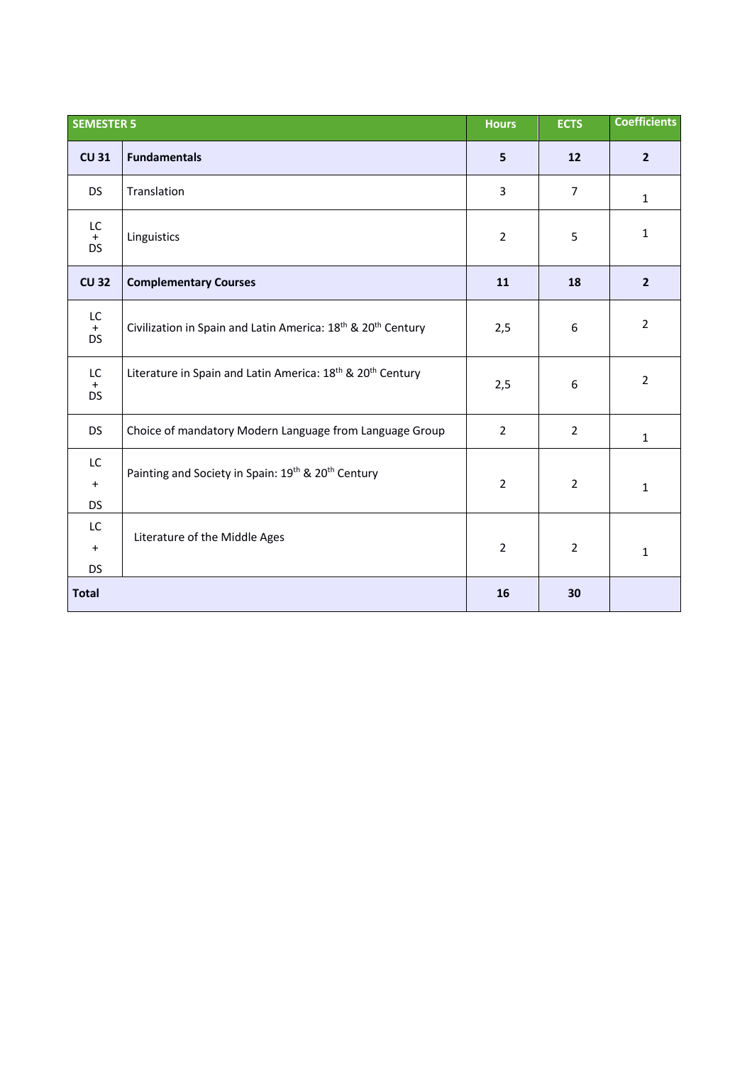| <b>SEMESTER 5</b>                 |                                                                                      | <b>Hours</b>   | <b>ECTS</b>    | <b>Coefficients</b> |
|-----------------------------------|--------------------------------------------------------------------------------------|----------------|----------------|---------------------|
| <b>CU 31</b>                      | <b>Fundamentals</b>                                                                  | 5              | 12             | $\overline{2}$      |
| <b>DS</b>                         | Translation                                                                          | 3              | $\overline{7}$ | $\mathbf{1}$        |
| $\mathsf{LC}$<br>$+$<br><b>DS</b> | Linguistics                                                                          | $\overline{2}$ | 5              | $\mathbf{1}$        |
| <b>CU 32</b>                      | <b>Complementary Courses</b>                                                         | 11             | 18             | $\overline{2}$      |
| LC<br>$\frac{+}{DS}$              | Civilization in Spain and Latin America: 18 <sup>th</sup> & 20 <sup>th</sup> Century | 2,5            | 6              | $\overline{2}$      |
| LC<br>$+$<br><b>DS</b>            | Literature in Spain and Latin America: 18 <sup>th</sup> & 20 <sup>th</sup> Century   | 2,5            | 6              | $\overline{2}$      |
| <b>DS</b>                         | Choice of mandatory Modern Language from Language Group                              | $\overline{2}$ | $\overline{2}$ | $\mathbf{1}$        |
| LC<br>$+$<br><b>DS</b>            | Painting and Society in Spain: 19th & 20th Century                                   | $\overline{2}$ | $\overline{2}$ | $\mathbf{1}$        |
| LC<br>$+$<br><b>DS</b>            | Literature of the Middle Ages                                                        | $\overline{2}$ | $\overline{2}$ | $\mathbf{1}$        |
| <b>Total</b>                      |                                                                                      | 16             | 30             |                     |